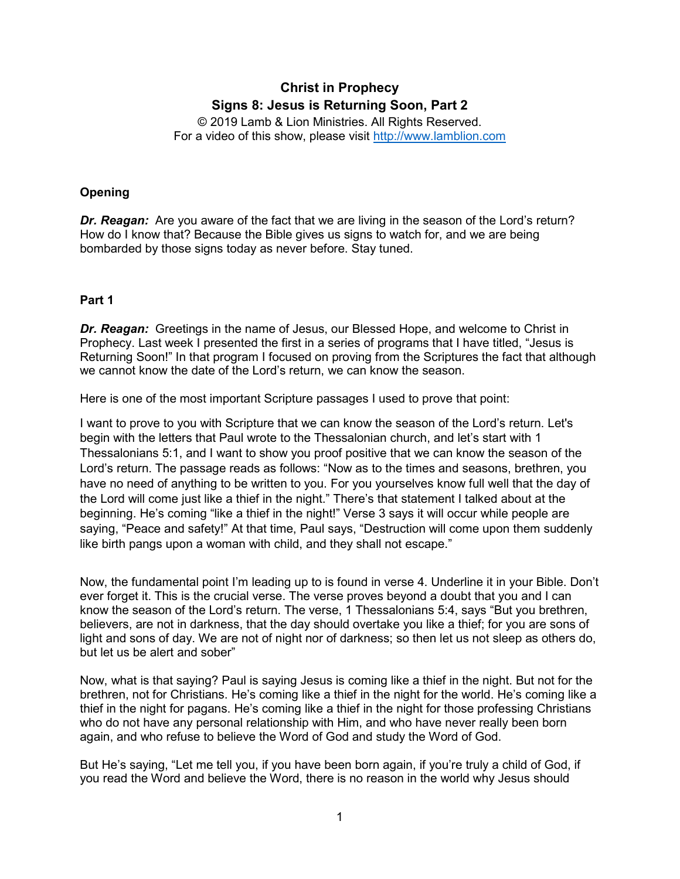# **Christ in Prophecy Signs 8: Jesus is Returning Soon, Part 2**

© 2019 Lamb & Lion Ministries. All Rights Reserved. For a video of this show, please visit [http://www.lamblion.com](http://www.lamblion.com/)

# **Opening**

**Dr. Reagan:** Are you aware of the fact that we are living in the season of the Lord's return? How do I know that? Because the Bible gives us signs to watch for, and we are being bombarded by those signs today as never before. Stay tuned.

## **Part 1**

**Dr. Reagan:** Greetings in the name of Jesus, our Blessed Hope, and welcome to Christ in Prophecy. Last week I presented the first in a series of programs that I have titled, "Jesus is Returning Soon!" In that program I focused on proving from the Scriptures the fact that although we cannot know the date of the Lord's return, we can know the season.

Here is one of the most important Scripture passages I used to prove that point:

I want to prove to you with Scripture that we can know the season of the Lord's return. Let's begin with the letters that Paul wrote to the Thessalonian church, and let's start with 1 Thessalonians 5:1, and I want to show you proof positive that we can know the season of the Lord's return. The passage reads as follows: "Now as to the times and seasons, brethren, you have no need of anything to be written to you. For you yourselves know full well that the day of the Lord will come just like a thief in the night." There's that statement I talked about at the beginning. He's coming "like a thief in the night!" Verse 3 says it will occur while people are saying, "Peace and safety!" At that time, Paul says, "Destruction will come upon them suddenly like birth pangs upon a woman with child, and they shall not escape."

Now, the fundamental point I'm leading up to is found in verse 4. Underline it in your Bible. Don't ever forget it. This is the crucial verse. The verse proves beyond a doubt that you and I can know the season of the Lord's return. The verse, 1 Thessalonians 5:4, says "But you brethren, believers, are not in darkness, that the day should overtake you like a thief; for you are sons of light and sons of day. We are not of night nor of darkness; so then let us not sleep as others do, but let us be alert and sober"

Now, what is that saying? Paul is saying Jesus is coming like a thief in the night. But not for the brethren, not for Christians. He's coming like a thief in the night for the world. He's coming like a thief in the night for pagans. He's coming like a thief in the night for those professing Christians who do not have any personal relationship with Him, and who have never really been born again, and who refuse to believe the Word of God and study the Word of God.

But He's saying, "Let me tell you, if you have been born again, if you're truly a child of God, if you read the Word and believe the Word, there is no reason in the world why Jesus should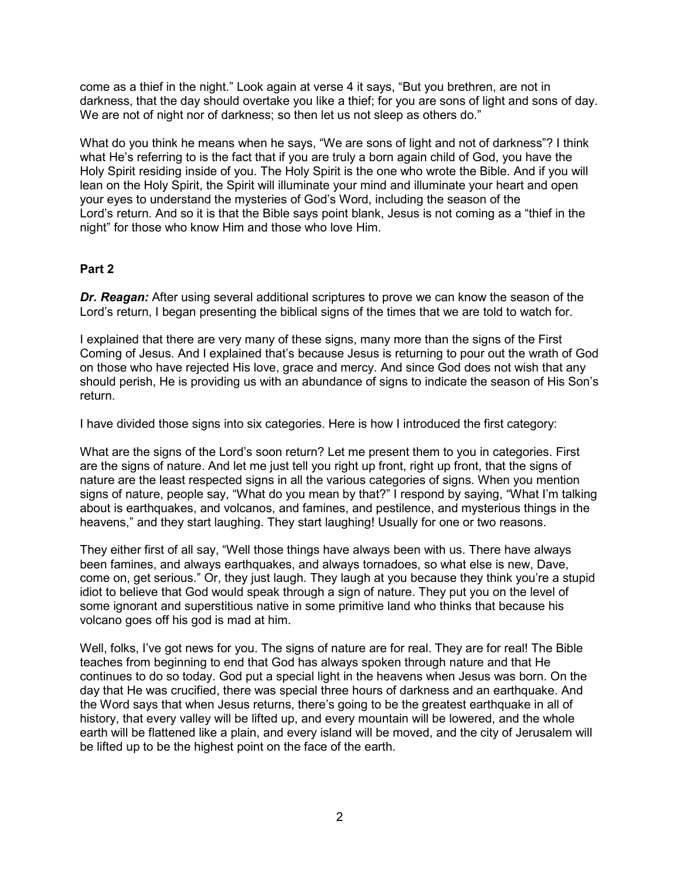come as a thief in the night." Look again at verse 4 it says, "But you brethren, are not in darkness, that the day should overtake you like a thief; for you are sons of light and sons of day. We are not of night nor of darkness; so then let us not sleep as others do."

What do you think he means when he says, "We are sons of light and not of darkness"? I think what He's referring to is the fact that if you are truly a born again child of God, you have the Holy Spirit residing inside of you. The Holy Spirit is the one who wrote the Bible. And if you will lean on the Holy Spirit, the Spirit will illuminate your mind and illuminate your heart and open your eyes to understand the mysteries of God's Word, including the season of the Lord's return. And so it is that the Bible says point blank, Jesus is not coming as a "thief in the night" for those who know Him and those who love Him.

# **Part 2**

**Dr. Reagan:** After using several additional scriptures to prove we can know the season of the Lord's return, I began presenting the biblical signs of the times that we are told to watch for.

I explained that there are very many of these signs, many more than the signs of the First Coming of Jesus. And I explained that's because Jesus is returning to pour out the wrath of God on those who have rejected His love, grace and mercy. And since God does not wish that any should perish, He is providing us with an abundance of signs to indicate the season of His Son's return.

I have divided those signs into six categories. Here is how I introduced the first category:

What are the signs of the Lord's soon return? Let me present them to you in categories. First are the signs of nature. And let me just tell you right up front, right up front, that the signs of nature are the least respected signs in all the various categories of signs. When you mention signs of nature, people say, "What do you mean by that?" I respond by saying, "What I'm talking about is earthquakes, and volcanos, and famines, and pestilence, and mysterious things in the heavens," and they start laughing. They start laughing! Usually for one or two reasons.

They either first of all say, "Well those things have always been with us. There have always been famines, and always earthquakes, and always tornadoes, so what else is new, Dave, come on, get serious." Or, they just laugh. They laugh at you because they think you're a stupid idiot to believe that God would speak through a sign of nature. They put you on the level of some ignorant and superstitious native in some primitive land who thinks that because his volcano goes off his god is mad at him.

Well, folks, I've got news for you. The signs of nature are for real. They are for real! The Bible teaches from beginning to end that God has always spoken through nature and that He continues to do so today. God put a special light in the heavens when Jesus was born. On the day that He was crucified, there was special three hours of darkness and an earthquake. And the Word says that when Jesus returns, there's going to be the greatest earthquake in all of history, that every valley will be lifted up, and every mountain will be lowered, and the whole earth will be flattened like a plain, and every island will be moved, and the city of Jerusalem will be lifted up to be the highest point on the face of the earth.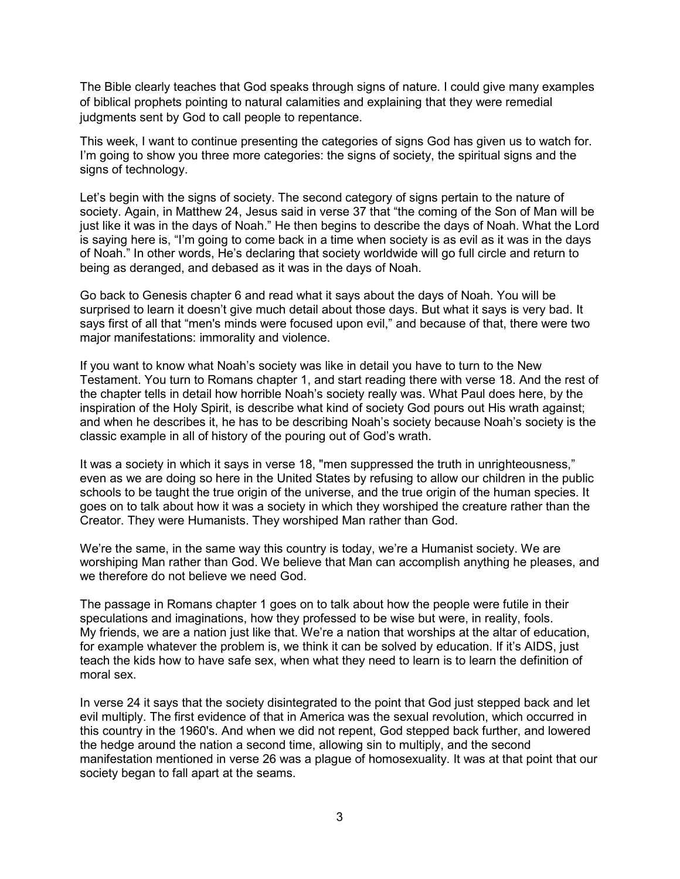The Bible clearly teaches that God speaks through signs of nature. I could give many examples of biblical prophets pointing to natural calamities and explaining that they were remedial judgments sent by God to call people to repentance.

This week, I want to continue presenting the categories of signs God has given us to watch for. I'm going to show you three more categories: the signs of society, the spiritual signs and the signs of technology.

Let's begin with the signs of society. The second category of signs pertain to the nature of society. Again, in Matthew 24, Jesus said in verse 37 that "the coming of the Son of Man will be just like it was in the days of Noah." He then begins to describe the days of Noah. What the Lord is saying here is, "I'm going to come back in a time when society is as evil as it was in the days of Noah." In other words, He's declaring that society worldwide will go full circle and return to being as deranged, and debased as it was in the days of Noah.

Go back to Genesis chapter 6 and read what it says about the days of Noah. You will be surprised to learn it doesn't give much detail about those days. But what it says is very bad. It says first of all that "men's minds were focused upon evil," and because of that, there were two major manifestations: immorality and violence.

If you want to know what Noah's society was like in detail you have to turn to the New Testament. You turn to Romans chapter 1, and start reading there with verse 18. And the rest of the chapter tells in detail how horrible Noah's society really was. What Paul does here, by the inspiration of the Holy Spirit, is describe what kind of society God pours out His wrath against; and when he describes it, he has to be describing Noah's society because Noah's society is the classic example in all of history of the pouring out of God's wrath.

It was a society in which it says in verse 18, "men suppressed the truth in unrighteousness," even as we are doing so here in the United States by refusing to allow our children in the public schools to be taught the true origin of the universe, and the true origin of the human species. It goes on to talk about how it was a society in which they worshiped the creature rather than the Creator. They were Humanists. They worshiped Man rather than God.

We're the same, in the same way this country is today, we're a Humanist society. We are worshiping Man rather than God. We believe that Man can accomplish anything he pleases, and we therefore do not believe we need God.

The passage in Romans chapter 1 goes on to talk about how the people were futile in their speculations and imaginations, how they professed to be wise but were, in reality, fools. My friends, we are a nation just like that. We're a nation that worships at the altar of education, for example whatever the problem is, we think it can be solved by education. If it's AIDS, just teach the kids how to have safe sex, when what they need to learn is to learn the definition of moral sex.

In verse 24 it says that the society disintegrated to the point that God just stepped back and let evil multiply. The first evidence of that in America was the sexual revolution, which occurred in this country in the 1960's. And when we did not repent, God stepped back further, and lowered the hedge around the nation a second time, allowing sin to multiply, and the second manifestation mentioned in verse 26 was a plague of homosexuality. It was at that point that our society began to fall apart at the seams.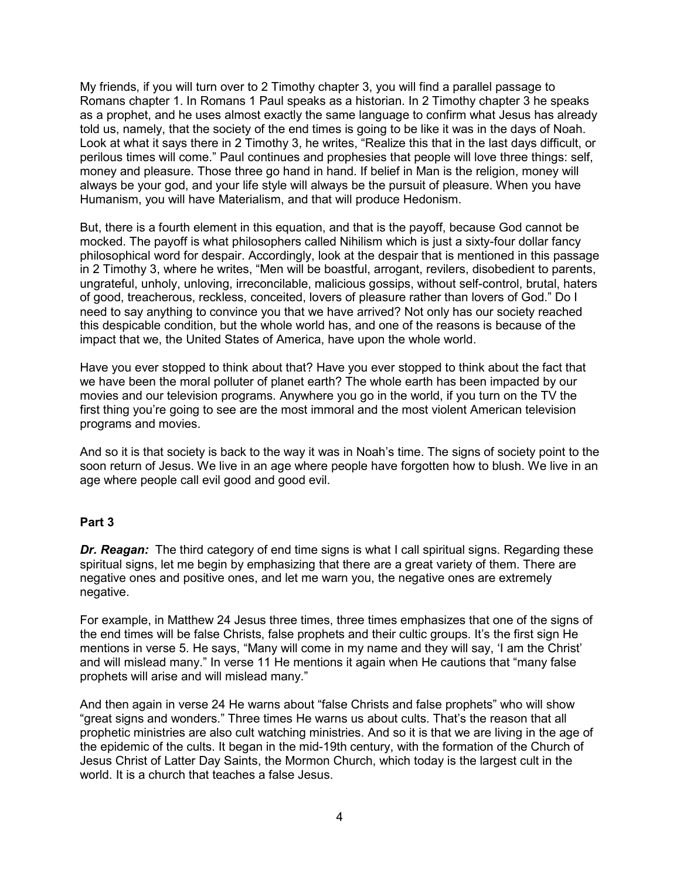My friends, if you will turn over to 2 Timothy chapter 3, you will find a parallel passage to Romans chapter 1. In Romans 1 Paul speaks as a historian. In 2 Timothy chapter 3 he speaks as a prophet, and he uses almost exactly the same language to confirm what Jesus has already told us, namely, that the society of the end times is going to be like it was in the days of Noah. Look at what it says there in 2 Timothy 3, he writes, "Realize this that in the last days difficult, or perilous times will come." Paul continues and prophesies that people will love three things: self, money and pleasure. Those three go hand in hand. If belief in Man is the religion, money will always be your god, and your life style will always be the pursuit of pleasure. When you have Humanism, you will have Materialism, and that will produce Hedonism.

But, there is a fourth element in this equation, and that is the payoff, because God cannot be mocked. The payoff is what philosophers called Nihilism which is just a sixty-four dollar fancy philosophical word for despair. Accordingly, look at the despair that is mentioned in this passage in 2 Timothy 3, where he writes, "Men will be boastful, arrogant, revilers, disobedient to parents, ungrateful, unholy, unloving, irreconcilable, malicious gossips, without self-control, brutal, haters of good, treacherous, reckless, conceited, lovers of pleasure rather than lovers of God." Do I need to say anything to convince you that we have arrived? Not only has our society reached this despicable condition, but the whole world has, and one of the reasons is because of the impact that we, the United States of America, have upon the whole world.

Have you ever stopped to think about that? Have you ever stopped to think about the fact that we have been the moral polluter of planet earth? The whole earth has been impacted by our movies and our television programs. Anywhere you go in the world, if you turn on the TV the first thing you're going to see are the most immoral and the most violent American television programs and movies.

And so it is that society is back to the way it was in Noah's time. The signs of society point to the soon return of Jesus. We live in an age where people have forgotten how to blush. We live in an age where people call evil good and good evil.

## **Part 3**

*Dr. Reagan:* The third category of end time signs is what I call spiritual signs. Regarding these spiritual signs, let me begin by emphasizing that there are a great variety of them. There are negative ones and positive ones, and let me warn you, the negative ones are extremely negative.

For example, in Matthew 24 Jesus three times, three times emphasizes that one of the signs of the end times will be false Christs, false prophets and their cultic groups. It's the first sign He mentions in verse 5. He says, "Many will come in my name and they will say, 'I am the Christ' and will mislead many." In verse 11 He mentions it again when He cautions that "many false prophets will arise and will mislead many."

And then again in verse 24 He warns about "false Christs and false prophets" who will show "great signs and wonders." Three times He warns us about cults. That's the reason that all prophetic ministries are also cult watching ministries. And so it is that we are living in the age of the epidemic of the cults. It began in the mid-19th century, with the formation of the Church of Jesus Christ of Latter Day Saints, the Mormon Church, which today is the largest cult in the world. It is a church that teaches a false Jesus.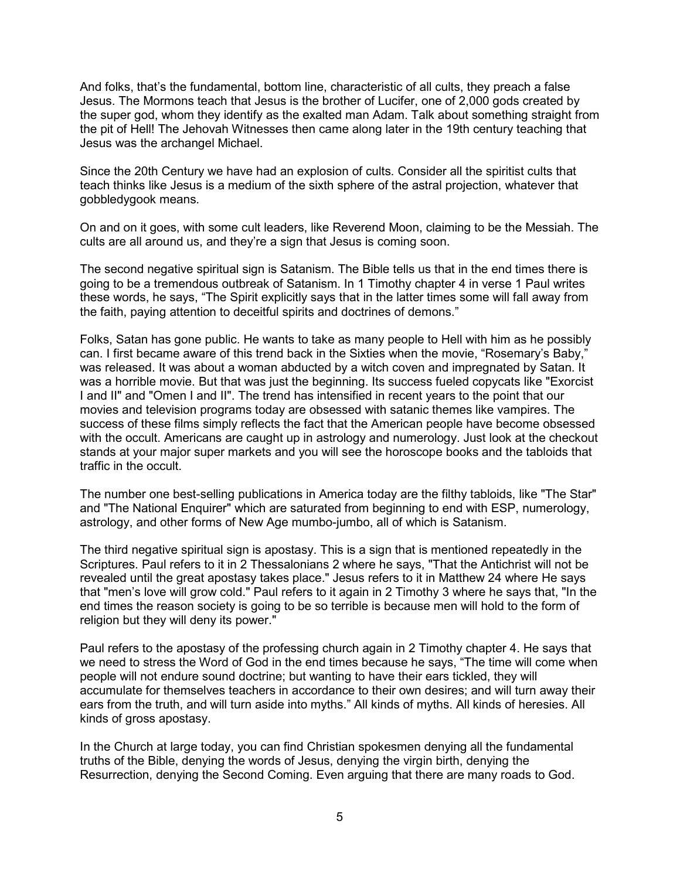And folks, that's the fundamental, bottom line, characteristic of all cults, they preach a false Jesus. The Mormons teach that Jesus is the brother of Lucifer, one of 2,000 gods created by the super god, whom they identify as the exalted man Adam. Talk about something straight from the pit of Hell! The Jehovah Witnesses then came along later in the 19th century teaching that Jesus was the archangel Michael.

Since the 20th Century we have had an explosion of cults. Consider all the spiritist cults that teach thinks like Jesus is a medium of the sixth sphere of the astral projection, whatever that gobbledygook means.

On and on it goes, with some cult leaders, like Reverend Moon, claiming to be the Messiah. The cults are all around us, and they're a sign that Jesus is coming soon.

The second negative spiritual sign is Satanism. The Bible tells us that in the end times there is going to be a tremendous outbreak of Satanism. In 1 Timothy chapter 4 in verse 1 Paul writes these words, he says, "The Spirit explicitly says that in the latter times some will fall away from the faith, paying attention to deceitful spirits and doctrines of demons."

Folks, Satan has gone public. He wants to take as many people to Hell with him as he possibly can. I first became aware of this trend back in the Sixties when the movie, "Rosemary's Baby," was released. It was about a woman abducted by a witch coven and impregnated by Satan. It was a horrible movie. But that was just the beginning. Its success fueled copycats like "Exorcist I and II" and "Omen I and II". The trend has intensified in recent years to the point that our movies and television programs today are obsessed with satanic themes like vampires. The success of these films simply reflects the fact that the American people have become obsessed with the occult. Americans are caught up in astrology and numerology. Just look at the checkout stands at your major super markets and you will see the horoscope books and the tabloids that traffic in the occult.

The number one best-selling publications in America today are the filthy tabloids, like "The Star" and "The National Enquirer" which are saturated from beginning to end with ESP, numerology, astrology, and other forms of New Age mumbo-jumbo, all of which is Satanism.

The third negative spiritual sign is apostasy. This is a sign that is mentioned repeatedly in the Scriptures. Paul refers to it in 2 Thessalonians 2 where he says, "That the Antichrist will not be revealed until the great apostasy takes place." Jesus refers to it in Matthew 24 where He says that "men's love will grow cold." Paul refers to it again in 2 Timothy 3 where he says that, "In the end times the reason society is going to be so terrible is because men will hold to the form of religion but they will deny its power."

Paul refers to the apostasy of the professing church again in 2 Timothy chapter 4. He says that we need to stress the Word of God in the end times because he says, "The time will come when people will not endure sound doctrine; but wanting to have their ears tickled, they will accumulate for themselves teachers in accordance to their own desires; and will turn away their ears from the truth, and will turn aside into myths." All kinds of myths. All kinds of heresies. All kinds of gross apostasy.

In the Church at large today, you can find Christian spokesmen denying all the fundamental truths of the Bible, denying the words of Jesus, denying the virgin birth, denying the Resurrection, denying the Second Coming. Even arguing that there are many roads to God.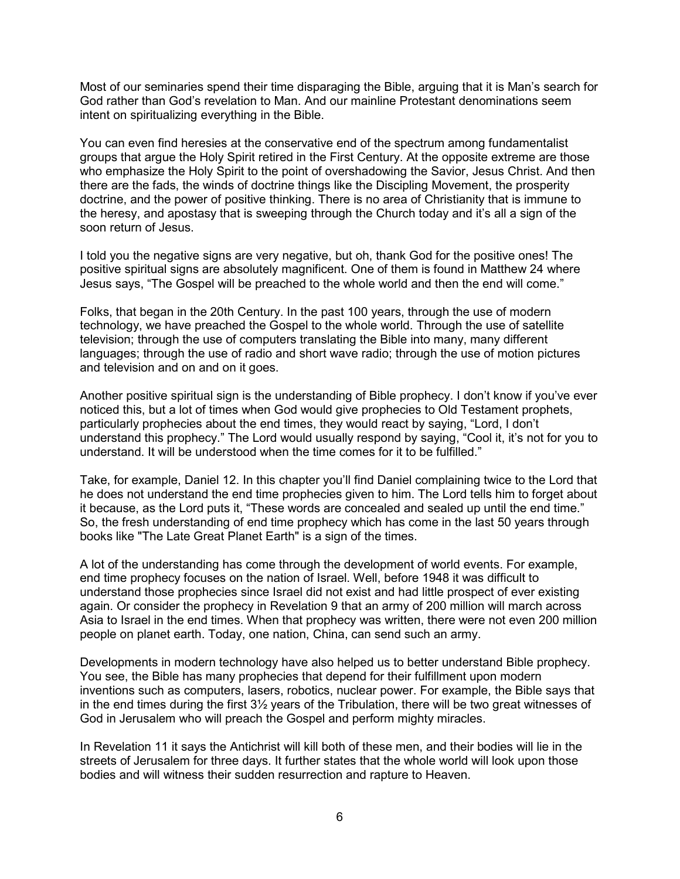Most of our seminaries spend their time disparaging the Bible, arguing that it is Man's search for God rather than God's revelation to Man. And our mainline Protestant denominations seem intent on spiritualizing everything in the Bible.

You can even find heresies at the conservative end of the spectrum among fundamentalist groups that argue the Holy Spirit retired in the First Century. At the opposite extreme are those who emphasize the Holy Spirit to the point of overshadowing the Savior, Jesus Christ. And then there are the fads, the winds of doctrine things like the Discipling Movement, the prosperity doctrine, and the power of positive thinking. There is no area of Christianity that is immune to the heresy, and apostasy that is sweeping through the Church today and it's all a sign of the soon return of Jesus.

I told you the negative signs are very negative, but oh, thank God for the positive ones! The positive spiritual signs are absolutely magnificent. One of them is found in Matthew 24 where Jesus says, "The Gospel will be preached to the whole world and then the end will come."

Folks, that began in the 20th Century. In the past 100 years, through the use of modern technology, we have preached the Gospel to the whole world. Through the use of satellite television; through the use of computers translating the Bible into many, many different languages; through the use of radio and short wave radio; through the use of motion pictures and television and on and on it goes.

Another positive spiritual sign is the understanding of Bible prophecy. I don't know if you've ever noticed this, but a lot of times when God would give prophecies to Old Testament prophets, particularly prophecies about the end times, they would react by saying, "Lord, I don't understand this prophecy." The Lord would usually respond by saying, "Cool it, it's not for you to understand. It will be understood when the time comes for it to be fulfilled."

Take, for example, Daniel 12. In this chapter you'll find Daniel complaining twice to the Lord that he does not understand the end time prophecies given to him. The Lord tells him to forget about it because, as the Lord puts it, "These words are concealed and sealed up until the end time." So, the fresh understanding of end time prophecy which has come in the last 50 years through books like "The Late Great Planet Earth" is a sign of the times.

A lot of the understanding has come through the development of world events. For example, end time prophecy focuses on the nation of Israel. Well, before 1948 it was difficult to understand those prophecies since Israel did not exist and had little prospect of ever existing again. Or consider the prophecy in Revelation 9 that an army of 200 million will march across Asia to Israel in the end times. When that prophecy was written, there were not even 200 million people on planet earth. Today, one nation, China, can send such an army.

Developments in modern technology have also helped us to better understand Bible prophecy. You see, the Bible has many prophecies that depend for their fulfillment upon modern inventions such as computers, lasers, robotics, nuclear power. For example, the Bible says that in the end times during the first 3½ years of the Tribulation, there will be two great witnesses of God in Jerusalem who will preach the Gospel and perform mighty miracles.

In Revelation 11 it says the Antichrist will kill both of these men, and their bodies will lie in the streets of Jerusalem for three days. It further states that the whole world will look upon those bodies and will witness their sudden resurrection and rapture to Heaven.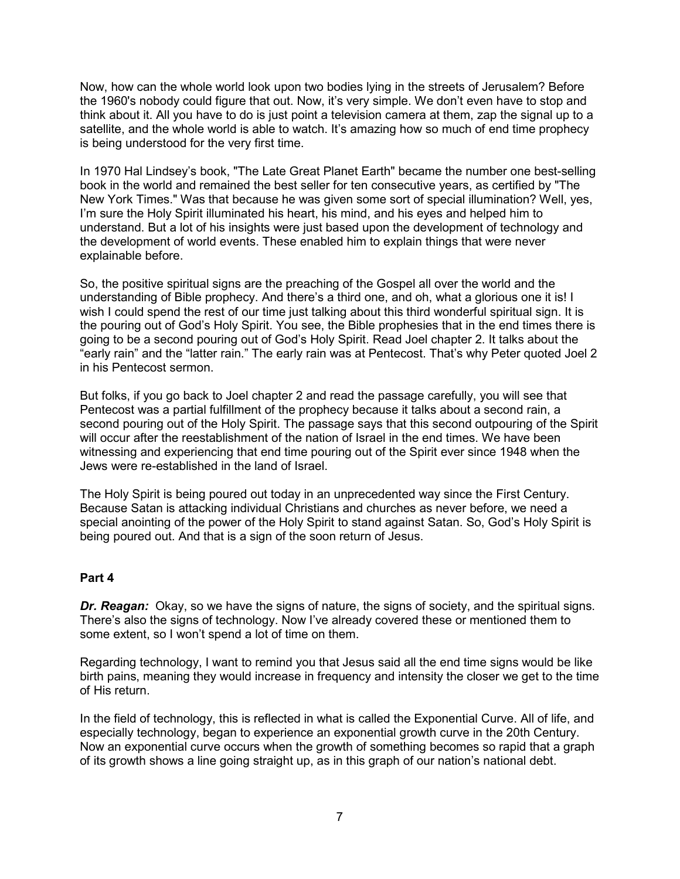Now, how can the whole world look upon two bodies lying in the streets of Jerusalem? Before the 1960's nobody could figure that out. Now, it's very simple. We don't even have to stop and think about it. All you have to do is just point a television camera at them, zap the signal up to a satellite, and the whole world is able to watch. It's amazing how so much of end time prophecy is being understood for the very first time.

In 1970 Hal Lindsey's book, "The Late Great Planet Earth" became the number one best-selling book in the world and remained the best seller for ten consecutive years, as certified by "The New York Times." Was that because he was given some sort of special illumination? Well, yes, I'm sure the Holy Spirit illuminated his heart, his mind, and his eyes and helped him to understand. But a lot of his insights were just based upon the development of technology and the development of world events. These enabled him to explain things that were never explainable before.

So, the positive spiritual signs are the preaching of the Gospel all over the world and the understanding of Bible prophecy. And there's a third one, and oh, what a glorious one it is! I wish I could spend the rest of our time just talking about this third wonderful spiritual sign. It is the pouring out of God's Holy Spirit. You see, the Bible prophesies that in the end times there is going to be a second pouring out of God's Holy Spirit. Read Joel chapter 2. It talks about the "early rain" and the "latter rain." The early rain was at Pentecost. That's why Peter quoted Joel 2 in his Pentecost sermon.

But folks, if you go back to Joel chapter 2 and read the passage carefully, you will see that Pentecost was a partial fulfillment of the prophecy because it talks about a second rain, a second pouring out of the Holy Spirit. The passage says that this second outpouring of the Spirit will occur after the reestablishment of the nation of Israel in the end times. We have been witnessing and experiencing that end time pouring out of the Spirit ever since 1948 when the Jews were re-established in the land of Israel.

The Holy Spirit is being poured out today in an unprecedented way since the First Century. Because Satan is attacking individual Christians and churches as never before, we need a special anointing of the power of the Holy Spirit to stand against Satan. So, God's Holy Spirit is being poured out. And that is a sign of the soon return of Jesus.

#### **Part 4**

*Dr. Reagan:* Okay, so we have the signs of nature, the signs of society, and the spiritual signs. There's also the signs of technology. Now I've already covered these or mentioned them to some extent, so I won't spend a lot of time on them.

Regarding technology, I want to remind you that Jesus said all the end time signs would be like birth pains, meaning they would increase in frequency and intensity the closer we get to the time of His return.

In the field of technology, this is reflected in what is called the Exponential Curve. All of life, and especially technology, began to experience an exponential growth curve in the 20th Century. Now an exponential curve occurs when the growth of something becomes so rapid that a graph of its growth shows a line going straight up, as in this graph of our nation's national debt.